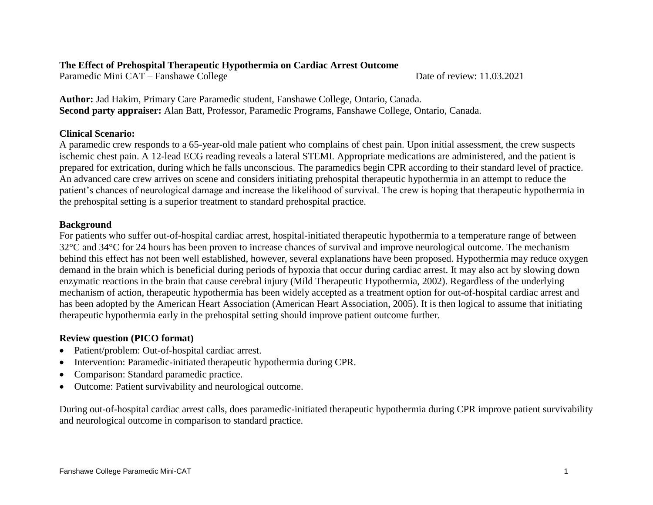### **The Effect of Prehospital Therapeutic Hypothermia on Cardiac Arrest Outcome**

Paramedic Mini CAT – Fanshawe College Date of review: 11.03.2021

**Author:** Jad Hakim, Primary Care Paramedic student, Fanshawe College, Ontario, Canada. **Second party appraiser:** Alan Batt, Professor, Paramedic Programs, Fanshawe College, Ontario, Canada.

# **Clinical Scenario:**

A paramedic crew responds to a 65-year-old male patient who complains of chest pain. Upon initial assessment, the crew suspects ischemic chest pain. A 12-lead ECG reading reveals a lateral STEMI. Appropriate medications are administered, and the patient is prepared for extrication, during which he falls unconscious. The paramedics begin CPR according to their standard level of practice. An advanced care crew arrives on scene and considers initiating prehospital therapeutic hypothermia in an attempt to reduce the patient's chances of neurological damage and increase the likelihood of survival. The crew is hoping that therapeutic hypothermia in the prehospital setting is a superior treatment to standard prehospital practice.

## **Background**

For patients who suffer out-of-hospital cardiac arrest, hospital-initiated therapeutic hypothermia to a temperature range of between 32°C and 34°C for 24 hours has been proven to increase chances of survival and improve neurological outcome. The mechanism behind this effect has not been well established, however, several explanations have been proposed. Hypothermia may reduce oxygen demand in the brain which is beneficial during periods of hypoxia that occur during cardiac arrest. It may also act by slowing down enzymatic reactions in the brain that cause cerebral injury (Mild Therapeutic Hypothermia, 2002). Regardless of the underlying mechanism of action, therapeutic hypothermia has been widely accepted as a treatment option for out-of-hospital cardiac arrest and has been adopted by the American Heart Association (American Heart Association, 2005). It is then logical to assume that initiating therapeutic hypothermia early in the prehospital setting should improve patient outcome further.

# **Review question (PICO format)**

- Patient/problem: Out-of-hospital cardiac arrest.
- Intervention: Paramedic-initiated therapeutic hypothermia during CPR.
- Comparison: Standard paramedic practice.
- Outcome: Patient survivability and neurological outcome.

During out-of-hospital cardiac arrest calls, does paramedic-initiated therapeutic hypothermia during CPR improve patient survivability and neurological outcome in comparison to standard practice.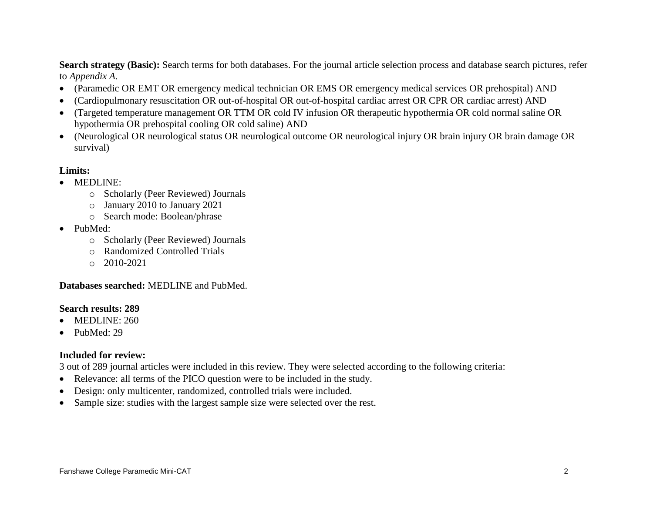**Search strategy (Basic):** Search terms for both databases. For the journal article selection process and database search pictures, refer to *Appendix A.*

- (Paramedic OR EMT OR emergency medical technician OR EMS OR emergency medical services OR prehospital) AND
- (Cardiopulmonary resuscitation OR out-of-hospital OR out-of-hospital cardiac arrest OR CPR OR cardiac arrest) AND
- (Targeted temperature management OR TTM OR cold IV infusion OR therapeutic hypothermia OR cold normal saline OR hypothermia OR prehospital cooling OR cold saline) AND
- (Neurological OR neurological status OR neurological outcome OR neurological injury OR brain injury OR brain damage OR survival)

## **Limits:**

## • MEDLINE:

- o Scholarly (Peer Reviewed) Journals
- o January 2010 to January 2021
- o Search mode: Boolean/phrase
- PubMed:
	- o Scholarly (Peer Reviewed) Journals
	- o Randomized Controlled Trials
	- o 2010-2021

## **Databases searched:** MEDLINE and PubMed.

## **Search results: 289**

- $\bullet$  MEDLINE: 260
- PubMed: 29

# **Included for review:**

3 out of 289 journal articles were included in this review. They were selected according to the following criteria:

- Relevance: all terms of the PICO question were to be included in the study.
- Design: only multicenter, randomized, controlled trials were included.
- Sample size: studies with the largest sample size were selected over the rest.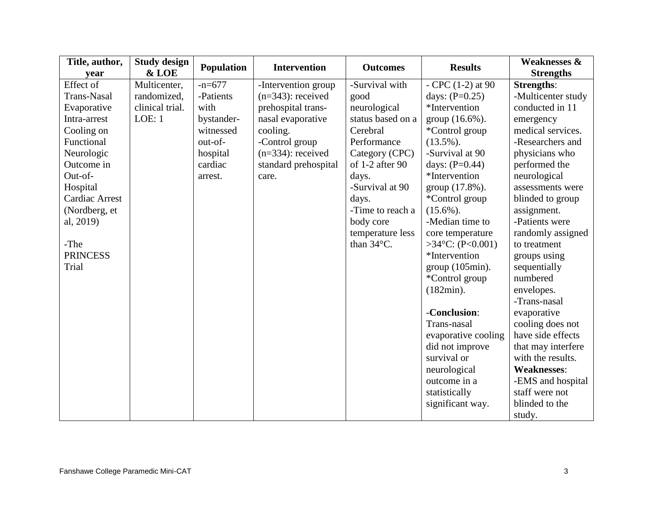| Title, author,        | <b>Study design</b> | <b>Population</b> | <b>Intervention</b>  | <b>Outcomes</b>      | <b>Results</b>              | <b>Weaknesses &amp;</b> |
|-----------------------|---------------------|-------------------|----------------------|----------------------|-----------------------------|-------------------------|
| vear                  | & LOE               |                   |                      |                      |                             | <b>Strengths</b>        |
| Effect of             | Multicenter,        | $-n=677$          | -Intervention group  | -Survival with       | $-$ CPC $(1-2)$ at 90       | <b>Strengths:</b>       |
| <b>Trans-Nasal</b>    | randomized,         | -Patients         | $(n=343)$ : received | good                 | days: $(P=0.25)$            | -Multicenter study      |
| Evaporative           | clinical trial.     | with              | prehospital trans-   | neurological         | *Intervention               | conducted in 11         |
| Intra-arrest          | LOE: 1              | bystander-        | nasal evaporative    | status based on a    | group $(16.6\%)$ .          | emergency               |
| Cooling on            |                     | witnessed         | cooling.             | Cerebral             | *Control group              | medical services.       |
| Functional            |                     | out-of-           | -Control group       | Performance          | $(13.5\%)$ .                | -Researchers and        |
| Neurologic            |                     | hospital          | $(n=334)$ : received | Category (CPC)       | -Survival at 90             | physicians who          |
| Outcome in            |                     | cardiac           | standard prehospital | of 1-2 after 90      | days: $(P=0.44)$            | performed the           |
| Out-of-               |                     | arrest.           | care.                | days.                | *Intervention               | neurological            |
| Hospital              |                     |                   |                      | -Survival at 90      | group (17.8%).              | assessments were        |
| <b>Cardiac Arrest</b> |                     |                   |                      | days.                | *Control group              | blinded to group        |
| (Nordberg, et         |                     |                   |                      | -Time to reach a     | $(15.6\%)$ .                | assignment.             |
| al, 2019)             |                     |                   |                      | body core            | -Median time to             | -Patients were          |
|                       |                     |                   |                      | temperature less     | core temperature            | randomly assigned       |
| -The                  |                     |                   |                      | than $34^{\circ}$ C. | >34 $^{\circ}$ C: (P<0.001) | to treatment            |
| <b>PRINCESS</b>       |                     |                   |                      |                      | *Intervention               | groups using            |
| Trial                 |                     |                   |                      |                      | $group(105min)$ .           | sequentially            |
|                       |                     |                   |                      |                      | *Control group              | numbered                |
|                       |                     |                   |                      |                      | $(182min)$ .                | envelopes.              |
|                       |                     |                   |                      |                      |                             | -Trans-nasal            |
|                       |                     |                   |                      |                      | -Conclusion:                | evaporative             |
|                       |                     |                   |                      |                      | Trans-nasal                 | cooling does not        |
|                       |                     |                   |                      |                      | evaporative cooling         | have side effects       |
|                       |                     |                   |                      |                      | did not improve             | that may interfere      |
|                       |                     |                   |                      |                      | survival or                 | with the results.       |
|                       |                     |                   |                      |                      | neurological                | <b>Weaknesses:</b>      |
|                       |                     |                   |                      |                      | outcome in a                | -EMS and hospital       |
|                       |                     |                   |                      |                      | statistically               | staff were not          |
|                       |                     |                   |                      |                      | significant way.            | blinded to the          |
|                       |                     |                   |                      |                      |                             | study.                  |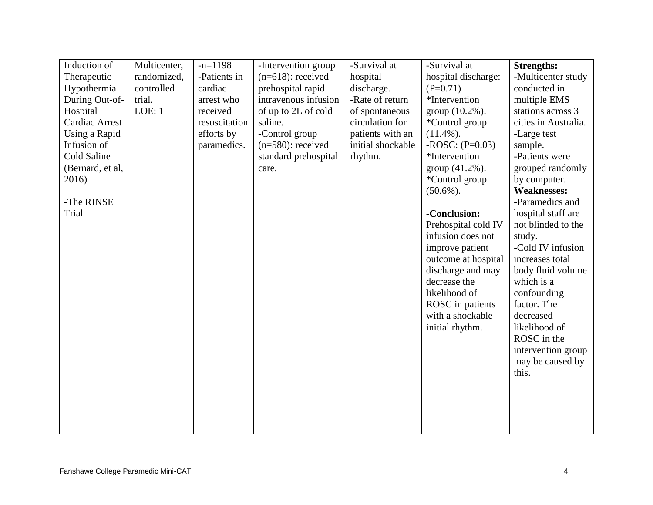| Induction of          | Multicenter, | $-n=1198$     | -Intervention group  | -Survival at      | -Survival at         | <b>Strengths:</b>    |
|-----------------------|--------------|---------------|----------------------|-------------------|----------------------|----------------------|
| Therapeutic           | randomized,  | -Patients in  | $(n=618)$ : received | hospital          | hospital discharge:  | -Multicenter study   |
| Hypothermia           | controlled   | cardiac       | prehospital rapid    | discharge.        | $(P=0.71)$           | conducted in         |
| During Out-of-        | trial.       | arrest who    | intravenous infusion | -Rate of return   | *Intervention        | multiple EMS         |
| Hospital              | LOE: 1       | received      | of up to 2L of cold  | of spontaneous    | group (10.2%).       | stations across 3    |
| <b>Cardiac Arrest</b> |              | resuscitation | saline.              | circulation for   | *Control group       | cities in Australia. |
| Using a Rapid         |              | efforts by    | -Control group       | patients with an  | $(11.4\%)$ .         | -Large test          |
| Infusion of           |              | paramedics.   | $(n=580)$ : received | initial shockable | $-ROSC$ : $(P=0.03)$ | sample.              |
| Cold Saline           |              |               | standard prehospital | rhythm.           | *Intervention        | -Patients were       |
| (Bernard, et al,      |              |               | care.                |                   | group (41.2%).       | grouped randomly     |
| 2016)                 |              |               |                      |                   | *Control group       | by computer.         |
|                       |              |               |                      |                   | $(50.6\%)$ .         | <b>Weaknesses:</b>   |
| -The RINSE            |              |               |                      |                   |                      | -Paramedics and      |
| Trial                 |              |               |                      |                   | -Conclusion:         | hospital staff are   |
|                       |              |               |                      |                   | Prehospital cold IV  | not blinded to the   |
|                       |              |               |                      |                   | infusion does not    | study.               |
|                       |              |               |                      |                   | improve patient      | -Cold IV infusion    |
|                       |              |               |                      |                   | outcome at hospital  | increases total      |
|                       |              |               |                      |                   | discharge and may    | body fluid volume    |
|                       |              |               |                      |                   | decrease the         | which is a           |
|                       |              |               |                      |                   | likelihood of        | confounding          |
|                       |              |               |                      |                   | ROSC in patients     | factor. The          |
|                       |              |               |                      |                   | with a shockable     | decreased            |
|                       |              |               |                      |                   | initial rhythm.      | likelihood of        |
|                       |              |               |                      |                   |                      | ROSC in the          |
|                       |              |               |                      |                   |                      | intervention group   |
|                       |              |               |                      |                   |                      | may be caused by     |
|                       |              |               |                      |                   |                      | this.                |
|                       |              |               |                      |                   |                      |                      |
|                       |              |               |                      |                   |                      |                      |
|                       |              |               |                      |                   |                      |                      |
|                       |              |               |                      |                   |                      |                      |
|                       |              |               |                      |                   |                      |                      |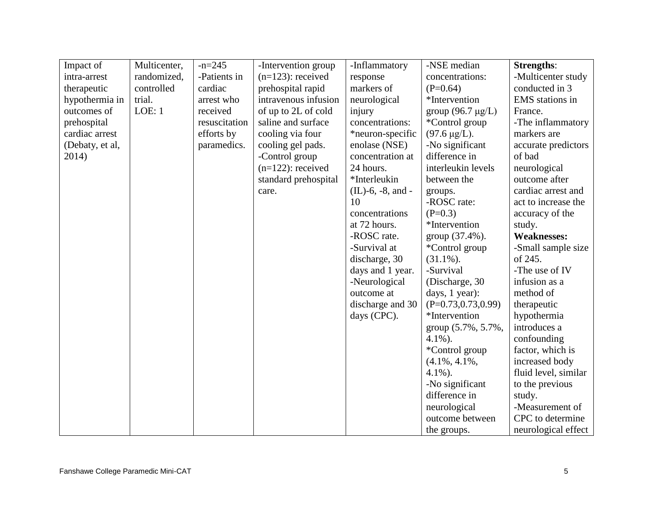| Impact of       | Multicenter, | $-n=245$      | -Intervention group  | -Inflammatory        | -NSE median            | <b>Strengths:</b>    |
|-----------------|--------------|---------------|----------------------|----------------------|------------------------|----------------------|
| intra-arrest    | randomized,  | -Patients in  | $(n=123)$ : received | response             | concentrations:        | -Multicenter study   |
| therapeutic     | controlled   | cardiac       | prehospital rapid    | markers of           | $(P=0.64)$             | conducted in 3       |
| hypothermia in  | trial.       | arrest who    | intravenous infusion | neurological         | *Intervention          | EMS stations in      |
| outcomes of     | LOE: 1       | received      | of up to 2L of cold  | injury               | group $(96.7 \mu g/L)$ | France.              |
| prehospital     |              | resuscitation | saline and surface   | concentrations:      | *Control group         | -The inflammatory    |
| cardiac arrest  |              | efforts by    | cooling via four     | *neuron-specific     | $(97.6 \,\mu g/L)$ .   | markers are          |
| (Debaty, et al, |              | paramedics.   | cooling gel pads.    | enolase (NSE)        | -No significant        | accurate predictors  |
| 2014)           |              |               | -Control group       | concentration at     | difference in          | of bad               |
|                 |              |               | $(n=122)$ : received | 24 hours.            | interleukin levels     | neurological         |
|                 |              |               | standard prehospital | *Interleukin         | between the            | outcome after        |
|                 |              |               | care.                | $(IL)$ -6, -8, and - | groups.                | cardiac arrest and   |
|                 |              |               |                      | 10                   | -ROSC rate:            | act to increase the  |
|                 |              |               |                      | concentrations       | $(P=0.3)$              | accuracy of the      |
|                 |              |               |                      | at 72 hours.         | *Intervention          | study.               |
|                 |              |               |                      | -ROSC rate.          | group (37.4%).         | <b>Weaknesses:</b>   |
|                 |              |               |                      | -Survival at         | *Control group         | -Small sample size   |
|                 |              |               |                      | discharge, 30        | $(31.1\%)$ .           | of 245.              |
|                 |              |               |                      | days and 1 year.     | -Survival              | -The use of IV       |
|                 |              |               |                      | -Neurological        | (Discharge, 30)        | infusion as a        |
|                 |              |               |                      | outcome at           | days, 1 year):         | method of            |
|                 |              |               |                      | discharge and 30     | $(P=0.73, 0.73, 0.99)$ | therapeutic          |
|                 |              |               |                      | days (CPC).          | *Intervention          | hypothermia          |
|                 |              |               |                      |                      | group (5.7%, 5.7%,     | introduces a         |
|                 |              |               |                      |                      | $4.1\%$ ).             | confounding          |
|                 |              |               |                      |                      | <i>*Control</i> group  | factor, which is     |
|                 |              |               |                      |                      | $(4.1\%, 4.1\%,$       | increased body       |
|                 |              |               |                      |                      | $4.1\%$ ).             | fluid level, similar |
|                 |              |               |                      |                      | -No significant        | to the previous      |
|                 |              |               |                      |                      | difference in          | study.               |
|                 |              |               |                      |                      | neurological           | -Measurement of      |
|                 |              |               |                      |                      | outcome between        | CPC to determine     |
|                 |              |               |                      |                      | the groups.            | neurological effect  |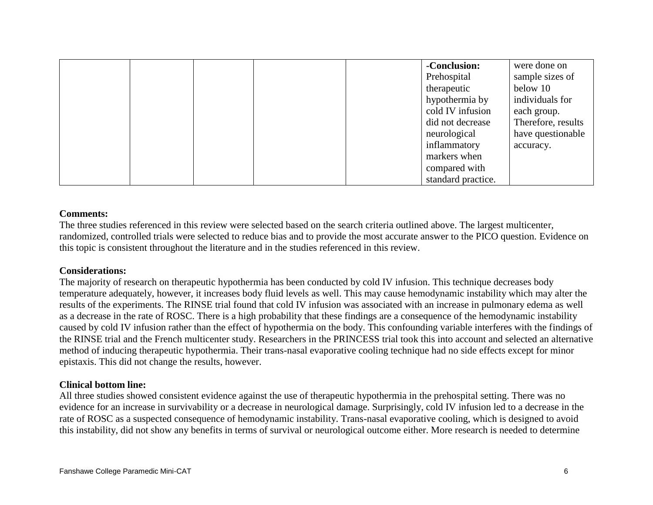|  |  | -Conclusion:       | were done on       |
|--|--|--------------------|--------------------|
|  |  | Prehospital        | sample sizes of    |
|  |  | therapeutic        | below 10           |
|  |  | hypothermia by     | individuals for    |
|  |  | cold IV infusion   | each group.        |
|  |  | did not decrease   | Therefore, results |
|  |  | neurological       | have questionable  |
|  |  | inflammatory       | accuracy.          |
|  |  | markers when       |                    |
|  |  | compared with      |                    |
|  |  | standard practice. |                    |

#### **Comments:**

The three studies referenced in this review were selected based on the search criteria outlined above. The largest multicenter, randomized, controlled trials were selected to reduce bias and to provide the most accurate answer to the PICO question. Evidence on this topic is consistent throughout the literature and in the studies referenced in this review.

### **Considerations:**

The majority of research on therapeutic hypothermia has been conducted by cold IV infusion. This technique decreases body temperature adequately, however, it increases body fluid levels as well. This may cause hemodynamic instability which may alter the results of the experiments. The RINSE trial found that cold IV infusion was associated with an increase in pulmonary edema as well as a decrease in the rate of ROSC. There is a high probability that these findings are a consequence of the hemodynamic instability caused by cold IV infusion rather than the effect of hypothermia on the body. This confounding variable interferes with the findings of the RINSE trial and the French multicenter study. Researchers in the PRINCESS trial took this into account and selected an alternative method of inducing therapeutic hypothermia. Their trans-nasal evaporative cooling technique had no side effects except for minor epistaxis. This did not change the results, however.

### **Clinical bottom line:**

All three studies showed consistent evidence against the use of therapeutic hypothermia in the prehospital setting. There was no evidence for an increase in survivability or a decrease in neurological damage. Surprisingly, cold IV infusion led to a decrease in the rate of ROSC as a suspected consequence of hemodynamic instability. Trans-nasal evaporative cooling, which is designed to avoid this instability, did not show any benefits in terms of survival or neurological outcome either. More research is needed to determine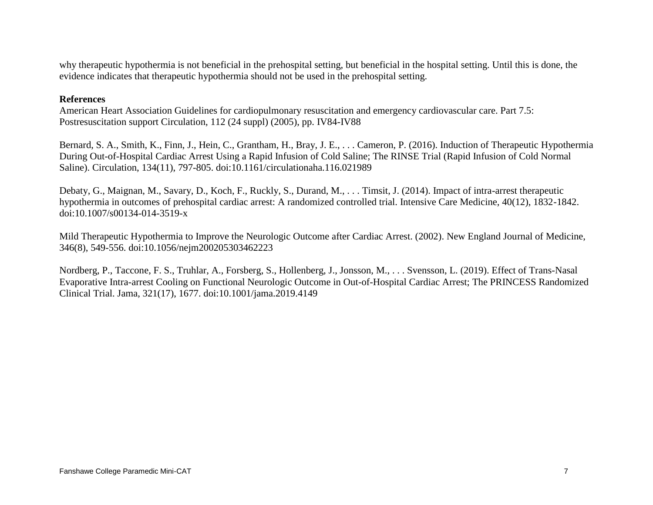why therapeutic hypothermia is not beneficial in the prehospital setting, but beneficial in the hospital setting. Until this is done, the evidence indicates that therapeutic hypothermia should not be used in the prehospital setting.

#### **References**

American Heart Association Guidelines for cardiopulmonary resuscitation and emergency cardiovascular care. Part 7.5: Postresuscitation support Circulation, 112 (24 suppl) (2005), pp. IV84-IV88

Bernard, S. A., Smith, K., Finn, J., Hein, C., Grantham, H., Bray, J. E., . . . Cameron, P. (2016). Induction of Therapeutic Hypothermia During Out-of-Hospital Cardiac Arrest Using a Rapid Infusion of Cold Saline; The RINSE Trial (Rapid Infusion of Cold Normal Saline). Circulation, 134(11), 797-805. doi:10.1161/circulationaha.116.021989

Debaty, G., Maignan, M., Savary, D., Koch, F., Ruckly, S., Durand, M., . . . Timsit, J. (2014). Impact of intra-arrest therapeutic hypothermia in outcomes of prehospital cardiac arrest: A randomized controlled trial. Intensive Care Medicine, 40(12), 1832-1842. doi:10.1007/s00134-014-3519-x

Mild Therapeutic Hypothermia to Improve the Neurologic Outcome after Cardiac Arrest. (2002). New England Journal of Medicine, 346(8), 549-556. doi:10.1056/nejm200205303462223

Nordberg, P., Taccone, F. S., Truhlar, A., Forsberg, S., Hollenberg, J., Jonsson, M., . . . Svensson, L. (2019). Effect of Trans-Nasal Evaporative Intra-arrest Cooling on Functional Neurologic Outcome in Out-of-Hospital Cardiac Arrest; The PRINCESS Randomized Clinical Trial. Jama, 321(17), 1677. doi:10.1001/jama.2019.4149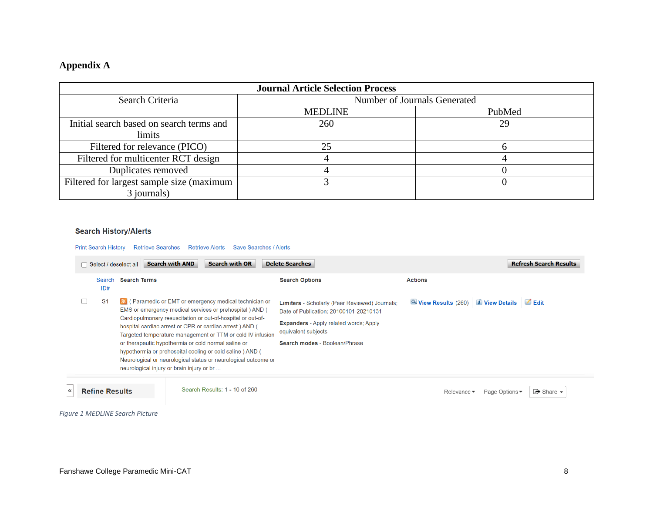# **Appendix A**

|                                           | <b>Journal Article Selection Process</b> |                              |
|-------------------------------------------|------------------------------------------|------------------------------|
| Search Criteria                           |                                          | Number of Journals Generated |
|                                           | <b>MEDLINE</b>                           | PubMed                       |
| Initial search based on search terms and  | 260                                      | 29                           |
| limits                                    |                                          |                              |
| Filtered for relevance (PICO)             | 25                                       |                              |
| Filtered for multicenter RCT design       |                                          |                              |
| Duplicates removed                        |                                          |                              |
| Filtered for largest sample size (maximum |                                          |                              |
| 3 journals)                               |                                          |                              |

#### **Search History/Alerts**

Print Search History Retrieve Searches Retrieve Alerts Save Searches / Alerts

|    | Select / deselect all |                     | <b>Search with AND</b>                                                                           | <b>Search with OR</b>                                                                                                                                                                | <b>Delete Searches</b>                                                                   |                                   | <b>Refresh Search Results</b>                       |
|----|-----------------------|---------------------|--------------------------------------------------------------------------------------------------|--------------------------------------------------------------------------------------------------------------------------------------------------------------------------------------|------------------------------------------------------------------------------------------|-----------------------------------|-----------------------------------------------------|
|    | Search<br>ID#         | <b>Search Terms</b> |                                                                                                  |                                                                                                                                                                                      | <b>Search Options</b>                                                                    | <b>Actions</b>                    |                                                     |
|    | S <sub>1</sub>        |                     |                                                                                                  | Ref. The Character of EMT or emergency medical technician or<br>EMS or emergency medical services or prehospital ) AND (                                                             | Limiters - Scholarly (Peer Reviewed) Journals;<br>Date of Publication: 20100101-20210131 | View Results (260) 1 View Details | $\blacksquare$ Edit                                 |
|    |                       |                     |                                                                                                  | Cardiopulmonary resuscitation or out-of-hospital or out-of-<br>hospital cardiac arrest or CPR or cardiac arrest) AND (<br>Targeted temperature management or TTM or cold IV infusion | <b>Expanders</b> - Apply related words; Apply<br>equivalent subjects                     |                                   |                                                     |
|    |                       |                     | or therapeutic hypothermia or cold normal saline or<br>neurological injury or brain injury or br | hypothermia or prehospital cooling or cold saline ) AND (<br>Neurological or neurological status or neurological outcome or                                                          | Search modes - Boolean/Phrase                                                            |                                   |                                                     |
| ≺< | <b>Refine Results</b> |                     |                                                                                                  | Search Results: 1 - 10 of 260                                                                                                                                                        |                                                                                          | Relevance $\blacktriangledown$    | $\rightarrow$ Share $\rightarrow$<br>Page Options ▼ |

*Figure 1 MEDLINE Search Picture*